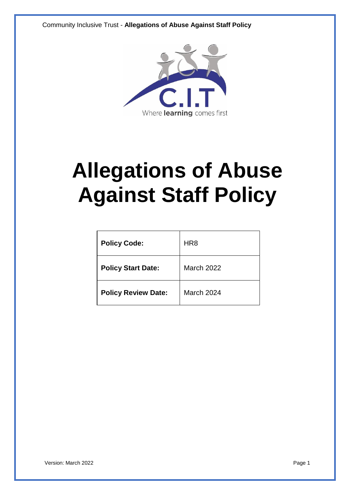Community Inclusive Trust - **Allegations of Abuse Against Staff Policy**



# **Allegations of Abuse Against Staff Policy**

| <b>Policy Code:</b>        | HR <sub>8</sub> |
|----------------------------|-----------------|
| <b>Policy Start Date:</b>  | March 2022      |
| <b>Policy Review Date:</b> | March 2024      |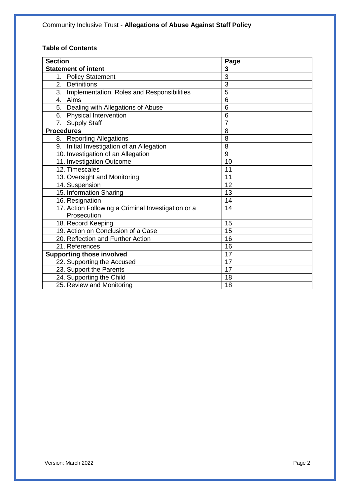## **Table of Contents**

| <b>Section</b>                                     | Page           |
|----------------------------------------------------|----------------|
| <b>Statement of intent</b>                         | 3              |
| 1.<br><b>Policy Statement</b>                      | $\overline{3}$ |
| 2. Definitions                                     | 3              |
| 3. Implementation, Roles and Responsibilities      | $\overline{5}$ |
| 4. Aims                                            | 6              |
| 5. Dealing with Allegations of Abuse               | 6              |
| 6. Physical Intervention                           | 6              |
| 7. Supply Staff                                    | $\overline{7}$ |
| <b>Procedures</b>                                  | 8              |
| <b>Reporting Allegations</b><br>8.                 | 8              |
| 9. Initial Investigation of an Allegation          | 8              |
| 10. Investigation of an Allegation                 | 9              |
| 11. Investigation Outcome                          | 10             |
| 12. Timescales                                     | 11             |
| 13. Oversight and Monitoring                       | 11             |
| 14. Suspension                                     | 12             |
| 15. Information Sharing                            | 13             |
| 16. Resignation                                    | 14             |
| 17. Action Following a Criminal Investigation or a | 14             |
| Prosecution                                        |                |
| 18. Record Keeping                                 | 15             |
| 19. Action on Conclusion of a Case                 | 15             |
| 20. Reflection and Further Action                  | 16             |
| 21. References                                     | 16             |
| <b>Supporting those involved</b>                   | 17             |
| 22. Supporting the Accused                         | 17             |
| 23. Support the Parents                            | 17             |
| 24. Supporting the Child                           | 18             |
| 25. Review and Monitoring                          | 18             |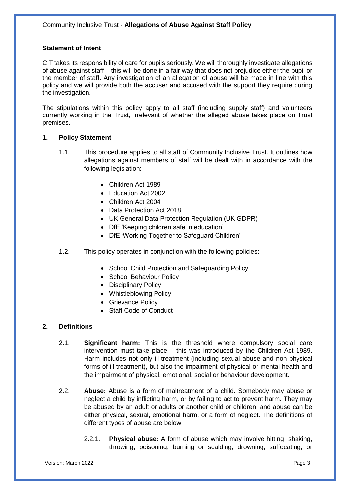## **Statement of Intent**

CIT takes its responsibility of care for pupils seriously. We will thoroughly investigate allegations of abuse against staff – this will be done in a fair way that does not prejudice either the pupil or the member of staff. Any investigation of an allegation of abuse will be made in line with this policy and we will provide both the accuser and accused with the support they require during the investigation.

The stipulations within this policy apply to all staff (including supply staff) and volunteers currently working in the Trust, irrelevant of whether the alleged abuse takes place on Trust premises.

#### **1. Policy Statement**

- 1.1. This procedure applies to all staff of Community Inclusive Trust. It outlines how allegations against members of staff will be dealt with in accordance with the following legislation:
	- Children Act 1989
	- Education Act 2002
	- Children Act 2004
	- Data Protection Act 2018
	- UK General Data Protection Regulation (UK GDPR)
	- DfE 'Keeping children safe in education'
	- DfE 'Working Together to Safeguard Children'
- 1.2. This policy operates in conjunction with the following policies:
	- School Child Protection and Safeguarding Policy
	- School Behaviour Policy
	- Disciplinary Policy
	- Whistleblowing Policy
	- Grievance Policy
	- Staff Code of Conduct

## **2. Definitions**

- 2.1. **Significant harm:** This is the threshold where compulsory social care intervention must take place – this was introduced by the Children Act 1989. Harm includes not only ill-treatment (including sexual abuse and non-physical forms of ill treatment), but also the impairment of physical or mental health and the impairment of physical, emotional, social or behaviour development.
- 2.2. **Abuse:** Abuse is a form of maltreatment of a child. Somebody may abuse or neglect a child by inflicting harm, or by failing to act to prevent harm. They may be abused by an adult or adults or another child or children, and abuse can be either physical, sexual, emotional harm, or a form of neglect. The definitions of different types of abuse are below:
	- 2.2.1. **Physical abuse:** A form of abuse which may involve hitting, shaking, throwing, poisoning, burning or scalding, drowning, suffocating, or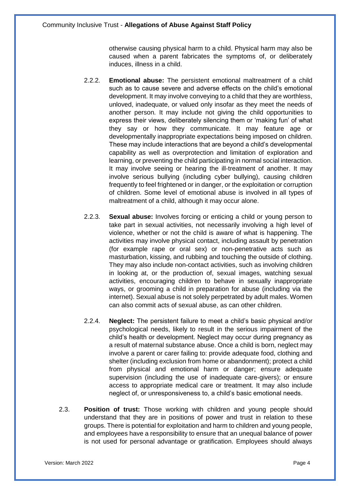otherwise causing physical harm to a child. Physical harm may also be caused when a parent fabricates the symptoms of, or deliberately induces, illness in a child.

- 2.2.2. **Emotional abuse:** The persistent emotional maltreatment of a child such as to cause severe and adverse effects on the child's emotional development. It may involve conveying to a child that they are worthless, unloved, inadequate, or valued only insofar as they meet the needs of another person. It may include not giving the child opportunities to express their views, deliberately silencing them or 'making fun' of what they say or how they communicate. It may feature age or developmentally inappropriate expectations being imposed on children. These may include interactions that are beyond a child's developmental capability as well as overprotection and limitation of exploration and learning, or preventing the child participating in normal social interaction. It may involve seeing or hearing the ill-treatment of another. It may involve serious bullying (including cyber bullying), causing children frequently to feel frightened or in danger, or the exploitation or corruption of children. Some level of emotional abuse is involved in all types of maltreatment of a child, although it may occur alone.
- 2.2.3. **Sexual abuse:** Involves forcing or enticing a child or young person to take part in sexual activities, not necessarily involving a high level of violence, whether or not the child is aware of what is happening. The activities may involve physical contact, including assault by penetration (for example rape or oral sex) or non-penetrative acts such as masturbation, kissing, and rubbing and touching the outside of clothing. They may also include non-contact activities, such as involving children in looking at, or the production of, sexual images, watching sexual activities, encouraging children to behave in sexually inappropriate ways, or grooming a child in preparation for abuse (including via the internet). Sexual abuse is not solely perpetrated by adult males. Women can also commit acts of sexual abuse, as can other children.
- 2.2.4. **Neglect:** The persistent failure to meet a child's basic physical and/or psychological needs, likely to result in the serious impairment of the child's health or development. Neglect may occur during pregnancy as a result of maternal substance abuse. Once a child is born, neglect may involve a parent or carer failing to: provide adequate food, clothing and shelter (including exclusion from home or abandonment); protect a child from physical and emotional harm or danger; ensure adequate supervision (including the use of inadequate care-givers); or ensure access to appropriate medical care or treatment. It may also include neglect of, or unresponsiveness to, a child's basic emotional needs.
- 2.3. **Position of trust:** Those working with children and young people should understand that they are in positions of power and trust in relation to these groups. There is potential for exploitation and harm to children and young people, and employees have a responsibility to ensure that an unequal balance of power is not used for personal advantage or gratification. Employees should always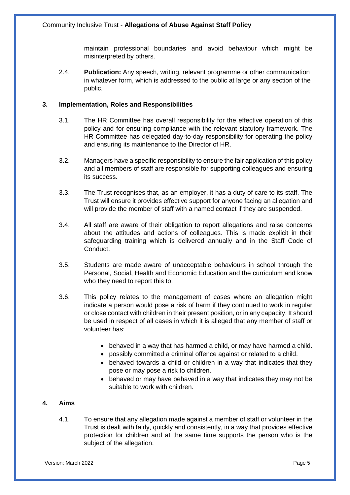maintain professional boundaries and avoid behaviour which might be misinterpreted by others.

2.4. **Publication:** Any speech, writing, relevant programme or other communication in whatever form, which is addressed to the public at large or any section of the public.

## **3. Implementation, Roles and Responsibilities**

- 3.1. The HR Committee has overall responsibility for the effective operation of this policy and for ensuring compliance with the relevant statutory framework. The HR Committee has delegated day-to-day responsibility for operating the policy and ensuring its maintenance to the Director of HR.
- 3.2. Managers have a specific responsibility to ensure the fair application of this policy and all members of staff are responsible for supporting colleagues and ensuring its success.
- 3.3. The Trust recognises that, as an employer, it has a duty of care to its staff. The Trust will ensure it provides effective support for anyone facing an allegation and will provide the member of staff with a named contact if they are suspended.
- 3.4. All staff are aware of their obligation to report allegations and raise concerns about the attitudes and actions of colleagues. This is made explicit in their safeguarding training which is delivered annually and in the Staff Code of Conduct.
- 3.5. Students are made aware of unacceptable behaviours in school through the Personal, Social, Health and Economic Education and the curriculum and know who they need to report this to.
- 3.6. This policy relates to the management of cases where an allegation might indicate a person would pose a risk of harm if they continued to work in regular or close contact with children in their present position, or in any capacity. It should be used in respect of all cases in which it is alleged that any member of staff or volunteer has:
	- behaved in a way that has harmed a child, or may have harmed a child.
	- possibly committed a criminal offence against or related to a child.
	- behaved towards a child or children in a way that indicates that they pose or may pose a risk to children.
	- behaved or may have behaved in a way that indicates they may not be suitable to work with children.

## **4. Aims**

4.1. To ensure that any allegation made against a member of staff or volunteer in the Trust is dealt with fairly, quickly and consistently, in a way that provides effective protection for children and at the same time supports the person who is the subject of the allegation.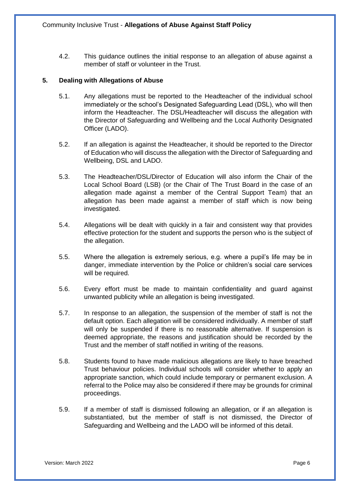4.2. This guidance outlines the initial response to an allegation of abuse against a member of staff or volunteer in the Trust.

## **5. Dealing with Allegations of Abuse**

- 5.1. Any allegations must be reported to the Headteacher of the individual school immediately or the school's Designated Safeguarding Lead (DSL), who will then inform the Headteacher. The DSL/Headteacher will discuss the allegation with the Director of Safeguarding and Wellbeing and the Local Authority Designated Officer (LADO).
- 5.2. If an allegation is against the Headteacher, it should be reported to the Director of Education who will discuss the allegation with the Director of Safeguarding and Wellbeing, DSL and LADO.
- 5.3. The Headteacher/DSL/Director of Education will also inform the Chair of the Local School Board (LSB) (or the Chair of The Trust Board in the case of an allegation made against a member of the Central Support Team) that an allegation has been made against a member of staff which is now being investigated.
- 5.4. Allegations will be dealt with quickly in a fair and consistent way that provides effective protection for the student and supports the person who is the subject of the allegation.
- 5.5. Where the allegation is extremely serious, e.g. where a pupil's life may be in danger, immediate intervention by the Police or children's social care services will be required.
- 5.6. Every effort must be made to maintain confidentiality and guard against unwanted publicity while an allegation is being investigated.
- 5.7. In response to an allegation, the suspension of the member of staff is not the default option. Each allegation will be considered individually. A member of staff will only be suspended if there is no reasonable alternative. If suspension is deemed appropriate, the reasons and justification should be recorded by the Trust and the member of staff notified in writing of the reasons.
- 5.8. Students found to have made malicious allegations are likely to have breached Trust behaviour policies. Individual schools will consider whether to apply an appropriate sanction, which could include temporary or permanent exclusion. A referral to the Police may also be considered if there may be grounds for criminal proceedings.
- 5.9. If a member of staff is dismissed following an allegation, or if an allegation is substantiated, but the member of staff is not dismissed, the Director of Safeguarding and Wellbeing and the LADO will be informed of this detail.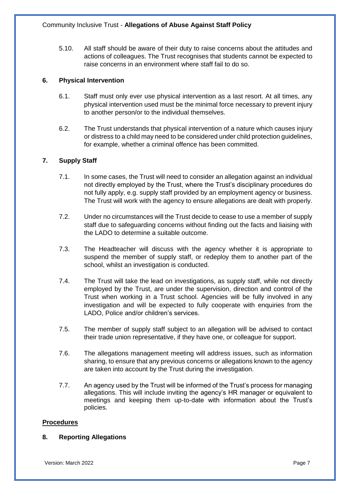5.10. All staff should be aware of their duty to raise concerns about the attitudes and actions of colleagues. The Trust recognises that students cannot be expected to raise concerns in an environment where staff fail to do so.

## **6. Physical Intervention**

- 6.1. Staff must only ever use physical intervention as a last resort. At all times, any physical intervention used must be the minimal force necessary to prevent injury to another person/or to the individual themselves.
- 6.2. The Trust understands that physical intervention of a nature which causes injury or distress to a child may need to be considered under child protection guidelines, for example, whether a criminal offence has been committed.

## **7. Supply Staff**

- 7.1. In some cases, the Trust will need to consider an allegation against an individual not directly employed by the Trust, where the Trust's disciplinary procedures do not fully apply, e.g. supply staff provided by an employment agency or business. The Trust will work with the agency to ensure allegations are dealt with properly.
- 7.2. Under no circumstances will the Trust decide to cease to use a member of supply staff due to safeguarding concerns without finding out the facts and liaising with the LADO to determine a suitable outcome.
- 7.3. The Headteacher will discuss with the agency whether it is appropriate to suspend the member of supply staff, or redeploy them to another part of the school, whilst an investigation is conducted.
- 7.4. The Trust will take the lead on investigations, as supply staff, while not directly employed by the Trust, are under the supervision, direction and control of the Trust when working in a Trust school. Agencies will be fully involved in any investigation and will be expected to fully cooperate with enquiries from the LADO, Police and/or children's services.
- 7.5. The member of supply staff subject to an allegation will be advised to contact their trade union representative, if they have one, or colleague for support.
- 7.6. The allegations management meeting will address issues, such as information sharing, to ensure that any previous concerns or allegations known to the agency are taken into account by the Trust during the investigation.
- 7.7. An agency used by the Trust will be informed of the Trust's process for managing allegations. This will include inviting the agency's HR manager or equivalent to meetings and keeping them up-to-date with information about the Trust's policies.

## **Procedures**

## **8. Reporting Allegations**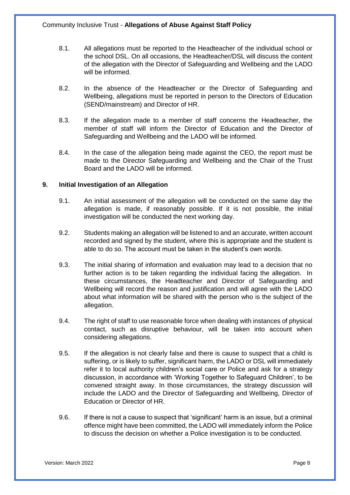- 8.1. All allegations must be reported to the Headteacher of the individual school or the school DSL. On all occasions, the Headteacher/DSL will discuss the content of the allegation with the Director of Safeguarding and Wellbeing and the LADO will be informed.
- 8.2. In the absence of the Headteacher or the Director of Safeguarding and Wellbeing, allegations must be reported in person to the Directors of Education (SEND/mainstream) and Director of HR.
- 8.3. If the allegation made to a member of staff concerns the Headteacher, the member of staff will inform the Director of Education and the Director of Safeguarding and Wellbeing and the LADO will be informed.
- 8.4. In the case of the allegation being made against the CEO, the report must be made to the Director Safeguarding and Wellbeing and the Chair of the Trust Board and the LADO will be informed.

## **9. Initial Investigation of an Allegation**

- 9.1. An initial assessment of the allegation will be conducted on the same day the allegation is made, if reasonably possible. If it is not possible, the initial investigation will be conducted the next working day.
- 9.2. Students making an allegation will be listened to and an accurate, written account recorded and signed by the student, where this is appropriate and the student is able to do so. The account must be taken in the student's own words.
- 9.3. The initial sharing of information and evaluation may lead to a decision that no further action is to be taken regarding the individual facing the allegation. In these circumstances, the Headteacher and Director of Safeguarding and Wellbeing will record the reason and justification and will agree with the LADO about what information will be shared with the person who is the subject of the allegation.
- 9.4. The right of staff to use reasonable force when dealing with instances of physical contact, such as disruptive behaviour, will be taken into account when considering allegations.
- 9.5. If the allegation is not clearly false and there is cause to suspect that a child is suffering, or is likely to suffer, significant harm, the LADO or DSL will immediately refer it to local authority children's social care or Police and ask for a strategy discussion, in accordance with 'Working Together to Safeguard Children', to be convened straight away. In those circumstances, the strategy discussion will include the LADO and the Director of Safeguarding and Wellbeing, Director of Education or Director of HR.
- 9.6. If there is not a cause to suspect that 'significant' harm is an issue, but a criminal offence might have been committed, the LADO will immediately inform the Police to discuss the decision on whether a Police investigation is to be conducted.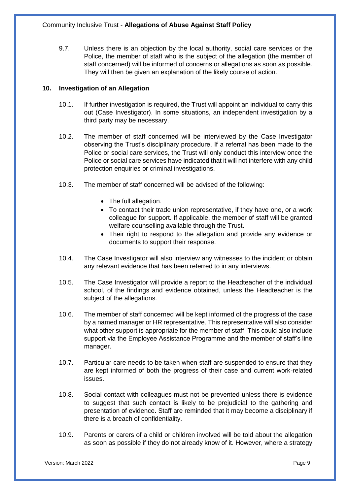9.7. Unless there is an objection by the local authority, social care services or the Police, the member of staff who is the subject of the allegation (the member of staff concerned) will be informed of concerns or allegations as soon as possible. They will then be given an explanation of the likely course of action.

## **10. Investigation of an Allegation**

- 10.1. If further investigation is required, the Trust will appoint an individual to carry this out (Case Investigator). In some situations, an independent investigation by a third party may be necessary.
- 10.2. The member of staff concerned will be interviewed by the Case Investigator observing the Trust's disciplinary procedure. If a referral has been made to the Police or social care services, the Trust will only conduct this interview once the Police or social care services have indicated that it will not interfere with any child protection enquiries or criminal investigations.
- 10.3. The member of staff concerned will be advised of the following:
	- The full allegation.
	- To contact their trade union representative, if they have one, or a work colleague for support. If applicable, the member of staff will be granted welfare counselling available through the Trust.
	- Their right to respond to the allegation and provide any evidence or documents to support their response.
- 10.4. The Case Investigator will also interview any witnesses to the incident or obtain any relevant evidence that has been referred to in any interviews.
- 10.5. The Case Investigator will provide a report to the Headteacher of the individual school, of the findings and evidence obtained, unless the Headteacher is the subject of the allegations.
- 10.6. The member of staff concerned will be kept informed of the progress of the case by a named manager or HR representative. This representative will also consider what other support is appropriate for the member of staff. This could also include support via the Employee Assistance Programme and the member of staff's line manager.
- 10.7. Particular care needs to be taken when staff are suspended to ensure that they are kept informed of both the progress of their case and current work-related issues.
- 10.8. Social contact with colleagues must not be prevented unless there is evidence to suggest that such contact is likely to be prejudicial to the gathering and presentation of evidence. Staff are reminded that it may become a disciplinary if there is a breach of confidentiality.
- 10.9. Parents or carers of a child or children involved will be told about the allegation as soon as possible if they do not already know of it. However, where a strategy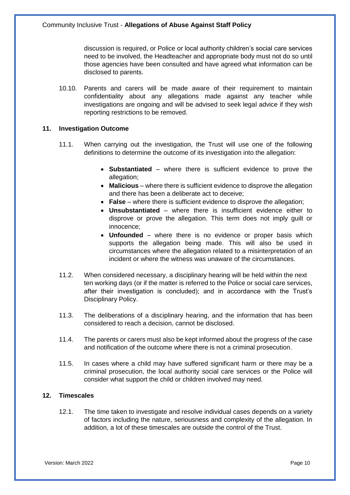discussion is required, or Police or local authority children's social care services need to be involved, the Headteacher and appropriate body must not do so until those agencies have been consulted and have agreed what information can be disclosed to parents.

10.10. Parents and carers will be made aware of their requirement to maintain confidentiality about any allegations made against any teacher while investigations are ongoing and will be advised to seek legal advice if they wish reporting restrictions to be removed.

#### **11. Investigation Outcome**

- 11.1. When carrying out the investigation, the Trust will use one of the following definitions to determine the outcome of its investigation into the allegation:
	- **Substantiated**  where there is sufficient evidence to prove the allegation;
	- **Malicious** where there is sufficient evidence to disprove the allegation and there has been a deliberate act to deceive;
	- **False** where there is sufficient evidence to disprove the allegation;
	- **Unsubstantiated**  where there is insufficient evidence either to disprove or prove the allegation. This term does not imply guilt or innocence;
	- **Unfounded**  where there is no evidence or proper basis which supports the allegation being made. This will also be used in circumstances where the allegation related to a misinterpretation of an incident or where the witness was unaware of the circumstances.
- 11.2. When considered necessary, a disciplinary hearing will be held within the next ten working days (or if the matter is referred to the Police or social care services, after their investigation is concluded); and in accordance with the Trust's Disciplinary Policy.
- 11.3. The deliberations of a disciplinary hearing, and the information that has been considered to reach a decision, cannot be disclosed.
- 11.4. The parents or carers must also be kept informed about the progress of the case and notification of the outcome where there is not a criminal prosecution.
- 11.5. In cases where a child may have suffered significant harm or there may be a criminal prosecution, the local authority social care services or the Police will consider what support the child or children involved may need.

## **12. Timescales**

12.1. The time taken to investigate and resolve individual cases depends on a variety of factors including the nature, seriousness and complexity of the allegation. In addition, a lot of these timescales are outside the control of the Trust.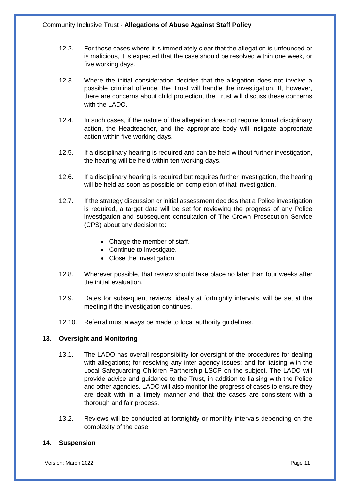- 12.2. For those cases where it is immediately clear that the allegation is unfounded or is malicious, it is expected that the case should be resolved within one week, or five working days.
- 12.3. Where the initial consideration decides that the allegation does not involve a possible criminal offence, the Trust will handle the investigation. If, however, there are concerns about child protection, the Trust will discuss these concerns with the LADO.
- 12.4. In such cases, if the nature of the allegation does not require formal disciplinary action, the Headteacher, and the appropriate body will instigate appropriate action within five working days.
- 12.5. If a disciplinary hearing is required and can be held without further investigation, the hearing will be held within ten working days.
- 12.6. If a disciplinary hearing is required but requires further investigation, the hearing will be held as soon as possible on completion of that investigation.
- 12.7. If the strategy discussion or initial assessment decides that a Police investigation is required, a target date will be set for reviewing the progress of any Police investigation and subsequent consultation of The Crown Prosecution Service (CPS) about any decision to:
	- Charge the member of staff.
	- Continue to investigate.
	- Close the investigation.
- 12.8. Wherever possible, that review should take place no later than four weeks after the initial evaluation.
- 12.9. Dates for subsequent reviews, ideally at fortnightly intervals, will be set at the meeting if the investigation continues.
- 12.10. Referral must always be made to local authority guidelines.

#### **13. Oversight and Monitoring**

- 13.1. The LADO has overall responsibility for oversight of the procedures for dealing with allegations; for resolving any inter-agency issues; and for liaising with the Local Safeguarding Children Partnership LSCP on the subject. The LADO will provide advice and guidance to the Trust, in addition to liaising with the Police and other agencies. LADO will also monitor the progress of cases to ensure they are dealt with in a timely manner and that the cases are consistent with a thorough and fair process.
- 13.2. Reviews will be conducted at fortnightly or monthly intervals depending on the complexity of the case.

#### **14. Suspension**

Version: March 2022 Page 11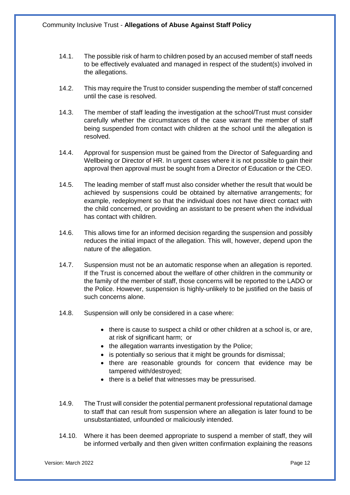- 14.1. The possible risk of harm to children posed by an accused member of staff needs to be effectively evaluated and managed in respect of the student(s) involved in the allegations.
- 14.2. This may require the Trust to consider suspending the member of staff concerned until the case is resolved.
- 14.3. The member of staff leading the investigation at the school/Trust must consider carefully whether the circumstances of the case warrant the member of staff being suspended from contact with children at the school until the allegation is resolved.
- 14.4. Approval for suspension must be gained from the Director of Safeguarding and Wellbeing or Director of HR. In urgent cases where it is not possible to gain their approval then approval must be sought from a Director of Education or the CEO.
- 14.5. The leading member of staff must also consider whether the result that would be achieved by suspensions could be obtained by alternative arrangements; for example, redeployment so that the individual does not have direct contact with the child concerned, or providing an assistant to be present when the individual has contact with children.
- 14.6. This allows time for an informed decision regarding the suspension and possibly reduces the initial impact of the allegation. This will, however, depend upon the nature of the allegation.
- 14.7. Suspension must not be an automatic response when an allegation is reported. If the Trust is concerned about the welfare of other children in the community or the family of the member of staff, those concerns will be reported to the LADO or the Police. However, suspension is highly-unlikely to be justified on the basis of such concerns alone.
- 14.8. Suspension will only be considered in a case where:
	- there is cause to suspect a child or other children at a school is, or are, at risk of significant harm; or
	- the allegation warrants investigation by the Police:
	- is potentially so serious that it might be grounds for dismissal;
	- there are reasonable grounds for concern that evidence may be tampered with/destroyed;
	- there is a belief that witnesses may be pressurised.
- 14.9. The Trust will consider the potential permanent professional reputational damage to staff that can result from suspension where an allegation is later found to be unsubstantiated, unfounded or maliciously intended.
- 14.10. Where it has been deemed appropriate to suspend a member of staff, they will be informed verbally and then given written confirmation explaining the reasons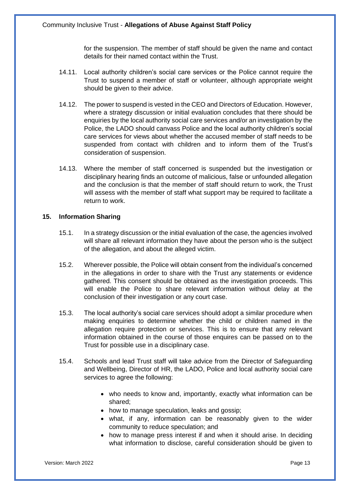for the suspension. The member of staff should be given the name and contact details for their named contact within the Trust.

- 14.11. Local authority children's social care services or the Police cannot require the Trust to suspend a member of staff or volunteer, although appropriate weight should be given to their advice.
- 14.12. The power to suspend is vested in the CEO and Directors of Education. However, where a strategy discussion or initial evaluation concludes that there should be enquiries by the local authority social care services and/or an investigation by the Police, the LADO should canvass Police and the local authority children's social care services for views about whether the accused member of staff needs to be suspended from contact with children and to inform them of the Trust's consideration of suspension.
- 14.13. Where the member of staff concerned is suspended but the investigation or disciplinary hearing finds an outcome of malicious, false or unfounded allegation and the conclusion is that the member of staff should return to work, the Trust will assess with the member of staff what support may be required to facilitate a return to work.

#### **15. Information Sharing**

- 15.1. In a strategy discussion or the initial evaluation of the case, the agencies involved will share all relevant information they have about the person who is the subject of the allegation, and about the alleged victim.
- 15.2. Wherever possible, the Police will obtain consent from the individual's concerned in the allegations in order to share with the Trust any statements or evidence gathered. This consent should be obtained as the investigation proceeds. This will enable the Police to share relevant information without delay at the conclusion of their investigation or any court case.
- 15.3. The local authority's social care services should adopt a similar procedure when making enquiries to determine whether the child or children named in the allegation require protection or services. This is to ensure that any relevant information obtained in the course of those enquires can be passed on to the Trust for possible use in a disciplinary case.
- 15.4. Schools and lead Trust staff will take advice from the Director of Safeguarding and Wellbeing, Director of HR, the LADO, Police and local authority social care services to agree the following:
	- who needs to know and, importantly, exactly what information can be shared;
	- how to manage speculation, leaks and gossip;
	- what, if any, information can be reasonably given to the wider community to reduce speculation; and
	- how to manage press interest if and when it should arise. In deciding what information to disclose, careful consideration should be given to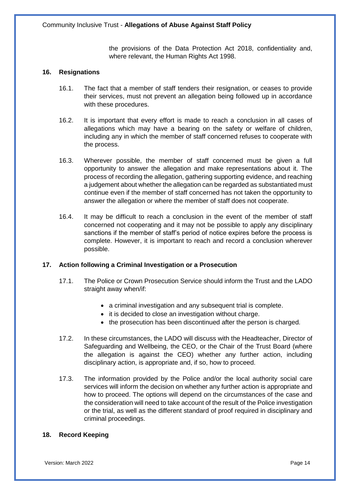the provisions of the Data Protection Act 2018, confidentiality and, where relevant, the Human Rights Act 1998.

#### **16. Resignations**

- 16.1. The fact that a member of staff tenders their resignation, or ceases to provide their services, must not prevent an allegation being followed up in accordance with these procedures.
- 16.2. It is important that every effort is made to reach a conclusion in all cases of allegations which may have a bearing on the safety or welfare of children, including any in which the member of staff concerned refuses to cooperate with the process.
- 16.3. Wherever possible, the member of staff concerned must be given a full opportunity to answer the allegation and make representations about it. The process of recording the allegation, gathering supporting evidence, and reaching a judgement about whether the allegation can be regarded as substantiated must continue even if the member of staff concerned has not taken the opportunity to answer the allegation or where the member of staff does not cooperate.
- 16.4. It may be difficult to reach a conclusion in the event of the member of staff concerned not cooperating and it may not be possible to apply any disciplinary sanctions if the member of staff's period of notice expires before the process is complete. However, it is important to reach and record a conclusion wherever possible.

## **17. Action following a Criminal Investigation or a Prosecution**

- 17.1. The Police or Crown Prosecution Service should inform the Trust and the LADO straight away when/if:
	- a criminal investigation and any subsequent trial is complete.
	- it is decided to close an investigation without charge.
	- the prosecution has been discontinued after the person is charged.
- 17.2. In these circumstances, the LADO will discuss with the Headteacher, Director of Safeguarding and Wellbeing, the CEO, or the Chair of the Trust Board (where the allegation is against the CEO) whether any further action, including disciplinary action, is appropriate and, if so, how to proceed.
- 17.3. The information provided by the Police and/or the local authority social care services will inform the decision on whether any further action is appropriate and how to proceed. The options will depend on the circumstances of the case and the consideration will need to take account of the result of the Police investigation or the trial, as well as the different standard of proof required in disciplinary and criminal proceedings.

## **18. Record Keeping**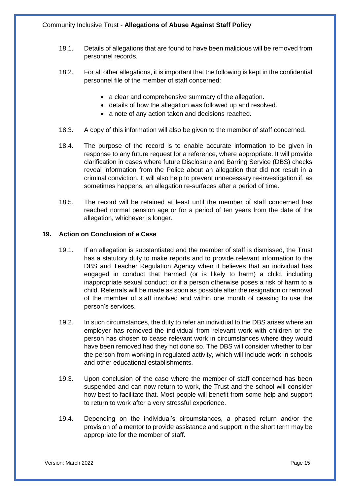- 18.1. Details of allegations that are found to have been malicious will be removed from personnel records.
- 18.2. For all other allegations, it is important that the following is kept in the confidential personnel file of the member of staff concerned:
	- a clear and comprehensive summary of the allegation.
	- details of how the allegation was followed up and resolved.
	- a note of any action taken and decisions reached.
- 18.3. A copy of this information will also be given to the member of staff concerned.
- 18.4. The purpose of the record is to enable accurate information to be given in response to any future request for a reference, where appropriate. It will provide clarification in cases where future Disclosure and Barring Service (DBS) checks reveal information from the Police about an allegation that did not result in a criminal conviction. It will also help to prevent unnecessary re-investigation if, as sometimes happens, an allegation re-surfaces after a period of time.
- 18.5. The record will be retained at least until the member of staff concerned has reached normal pension age or for a period of ten years from the date of the allegation, whichever is longer.

## **19. Action on Conclusion of a Case**

- 19.1. If an allegation is substantiated and the member of staff is dismissed, the Trust has a statutory duty to make reports and to provide relevant information to the DBS and Teacher Regulation Agency when it believes that an individual has engaged in conduct that harmed (or is likely to harm) a child, including inappropriate sexual conduct; or if a person otherwise poses a risk of harm to a child. Referrals will be made as soon as possible after the resignation or removal of the member of staff involved and within one month of ceasing to use the person's services.
- 19.2. In such circumstances, the duty to refer an individual to the DBS arises where an employer has removed the individual from relevant work with children or the person has chosen to cease relevant work in circumstances where they would have been removed had they not done so. The DBS will consider whether to bar the person from working in regulated activity, which will include work in schools and other educational establishments.
- 19.3. Upon conclusion of the case where the member of staff concerned has been suspended and can now return to work, the Trust and the school will consider how best to facilitate that. Most people will benefit from some help and support to return to work after a very stressful experience.
- 19.4. Depending on the individual's circumstances, a phased return and/or the provision of a mentor to provide assistance and support in the short term may be appropriate for the member of staff.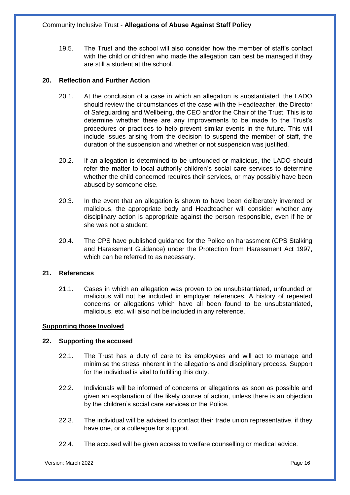19.5. The Trust and the school will also consider how the member of staff's contact with the child or children who made the allegation can best be managed if they are still a student at the school.

## **20. Reflection and Further Action**

- 20.1. At the conclusion of a case in which an allegation is substantiated, the LADO should review the circumstances of the case with the Headteacher, the Director of Safeguarding and Wellbeing, the CEO and/or the Chair of the Trust. This is to determine whether there are any improvements to be made to the Trust's procedures or practices to help prevent similar events in the future. This will include issues arising from the decision to suspend the member of staff, the duration of the suspension and whether or not suspension was justified.
- 20.2. If an allegation is determined to be unfounded or malicious, the LADO should refer the matter to local authority children's social care services to determine whether the child concerned requires their services, or may possibly have been abused by someone else.
- 20.3. In the event that an allegation is shown to have been deliberately invented or malicious, the appropriate body and Headteacher will consider whether any disciplinary action is appropriate against the person responsible, even if he or she was not a student.
- 20.4. The CPS have published guidance for the Police on harassment (CPS Stalking and Harassment Guidance) under the Protection from Harassment Act 1997, which can be referred to as necessary.

#### **21. References**

21.1. Cases in which an allegation was proven to be unsubstantiated, unfounded or malicious will not be included in employer references. A history of repeated concerns or allegations which have all been found to be unsubstantiated, malicious, etc. will also not be included in any reference.

#### **Supporting those Involved**

#### **22. Supporting the accused**

- 22.1. The Trust has a duty of care to its employees and will act to manage and minimise the stress inherent in the allegations and disciplinary process. Support for the individual is vital to fulfilling this duty.
- 22.2. Individuals will be informed of concerns or allegations as soon as possible and given an explanation of the likely course of action, unless there is an objection by the children's social care services or the Police.
- 22.3. The individual will be advised to contact their trade union representative, if they have one, or a colleague for support.
- 22.4. The accused will be given access to welfare counselling or medical advice.